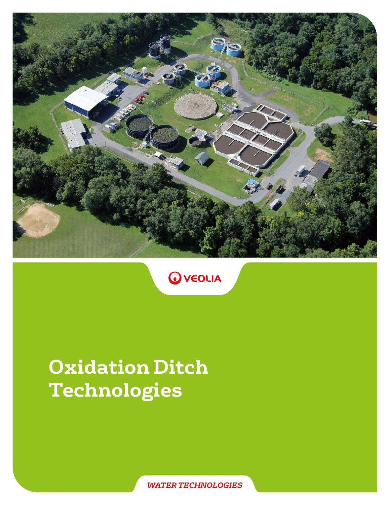



# **Oxidation Ditch Technologies**

*WATER TECHNOLOGIES*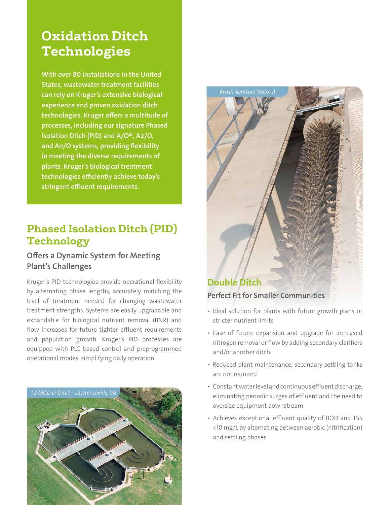# **Oxidation Ditch Technologies**

With over 80 installations in the United States, wastewater treatment facilities can rely on Kruger's extensive biological experience and proven oxidation ditch technologies. Kruger offers a multitude of processes, including our signature Phased Isolation Ditch (PID) and  $A/O^{\circ}$ , A2/O, and An/O systems, providing flexibility in meeting the diverse requirements of plants. Kruger's biological treatment technologies efficiently achieve today's stringent effluent requirements.

# **Phased Isolation Ditch (PID) Technology**

# Offers a Dynamic System for Meeting Plant's Challenges

Kruger's PID technologies provide operational flexibility by alternating phase lengths, accurately matching the level of treatment needed for changing wastewater treatment strengths. Systems are easily upgradable and expandable for biological nutrient removal (BNR) and flow increases for future tighter effluent requirements and population growth. Kruger's PID processes are equipped with PLC based control and preprogrammed operational modes, simplifying daily operation.





- Ideal solution for plants with future growth plans or stricter nutrient limits
- Ease of future expansion and upgrade for increased nitrogen removal or flow by adding secondary clarifiers and/or another ditch
- Reduced plant maintenance, secondary settling tanks are not required
- Constant water level and continuous effluent discharge, eliminating periodic surges of effluent and the need to oversize equipment downstream
- Achieves exceptional effluent quality of BOD and TSS <10 mg/L by alternating between aerobic (nitrification) and settling phases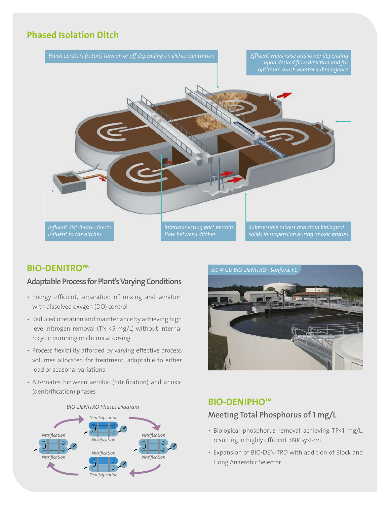# Phased Isolation Ditch



#### Adaptable Process for Plant's Varying Conditions

- Energy efficient, separation of mixing and aeration with dissolved oxygen (DO) control
- Reduced operation and maintenance by achieving high level nitrogen removal (TN <5 mg/L) without internal recycle pumping or chemical dosing
- Process flexibility afforded by varying effective process volumes allocated for treatment, adaptable to either load or seasonal variations
- Alternates between aerobic (nitrification) and anoxic (denitrification) phases





#### BIO-DENIPHO™

# Meeting Total Phosphorus of 1 mg/L

- Biological phosphorus removal achieving TP<1 mg/L, resulting in highly efficient BNR system
- Expansion of BIO-DENITRO with addition of Block and Hong Anaerobic Selector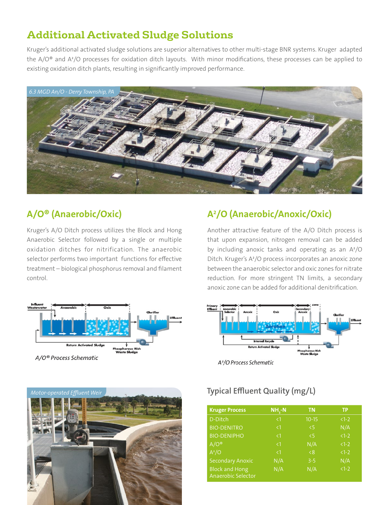# **Additional Activated Sludge Solutions**

Kruger's additional activated sludge solutions are superior alternatives to other multi-stage BNR systems. Kruger adapted the A/O® and A²/O processes for oxidation ditch layouts. With minor modifications, these processes can be applied to existing oxidation ditch plants, resulting in significantly improved performance.



# A/O® (Anaerobic/Oxic)

Kruger's A/O Ditch process utilizes the Block and Hong Anaerobic Selector followed by a single or multiple oxidation ditches for nitrification. The anaerobic selector performs two important functions for effective treatment – biological phosphorus removal and filament control.



A /O (Anaerobic/Anoxic/Oxic)

Another attractive feature of the A/O Ditch process is that upon expansion, nitrogen removal can be added by including anoxic tanks and operating as an A²/O Ditch. Kruger's A²/O process incorporates an anoxic zone between the anaerobic selector and oxic zones for nitrate reduction. For more stringent TN limits, a secondary anoxic zone can be added for additional denitrification.



A<sup>2</sup>/O Process Schematic



| <b>Kruger Process</b>                       | $NH3-N$  | <b>TN</b> | TP      |
|---------------------------------------------|----------|-----------|---------|
| D-Ditch                                     | $\leq$ 1 | $10 - 15$ | $1-2$   |
| <b>BIO-DENITRO</b>                          | $\leq$ 1 | $\leq$    | N/A     |
| <b>BIO-DENIPHO</b>                          | $\leq$ 1 | $\leq$    | $1 - 2$ |
| $A/O^{\circledcirc}$                        | $\leq$ 1 | N/A       | $1-2$   |
| $A^2/O$                                     | $\leq$ 1 | < 8       | $1 - 2$ |
| <b>Secondary Anoxic</b>                     | N/A      | $3 - 5$   | N/A     |
| <b>Block and Hong</b><br>Anaerobic Selector | N/A      | N/A       | $1-2$   |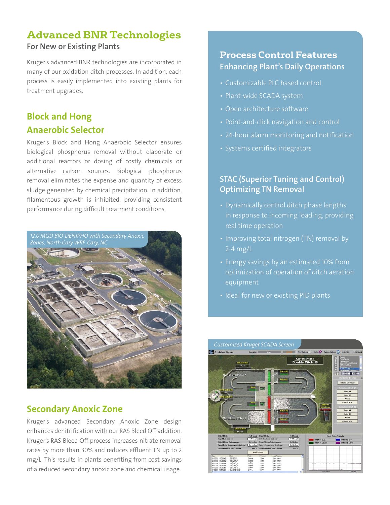# **Advanced BNR Technologies** For New or Existing Plants

Kruger's advanced BNR technologies are incorporated in many of our oxidation ditch processes. In addition, each process is easily implemented into existing plants for treatment upgrades.

# Block and Hong Anaerobic Selector

Kruger's Block and Hong Anaerobic Selector ensures biological phosphorus removal without elaborate or additional reactors or dosing of costly chemicals or alternative carbon sources. Biological phosphorus removal eliminates the expense and quantity of excess sludge generated by chemical precipitation. In addition, filamentous growth is inhibited, providing consistent performance during difficult treatment conditions.



# Secondary Anoxic Zone

Kruger's advanced Secondary Anoxic Zone design enhances denitrification with our RAS Bleed Off addition. Kruger's RAS Bleed Off process increases nitrate removal rates by more than 30% and reduces effluent TN up to 2 mg/L. This results in plants benefiting from cost savings of a reduced secondary anoxic zone and chemical usage.

### **Process Control Features**  Enhancing Plant's Daily Operations

- Customizable PLC based control
- Plant-wide SCADA system
- Open architecture software
- Point-and-click navigation and control
- 24-hour alarm monitoring and notification
- Systems certified integrators

#### **STAC (Superior Tuning and Control)** Optimizing TN Removal

- Dynamically control ditch phase lengths in response to incoming loading, providing real time operation
- Improving total nitrogen (TN) removal by 2-4 mg/L
- Energy savings by an estimated 10% from optimization of operation of ditch aeration equipment
- Ideal for new or existing PID plants